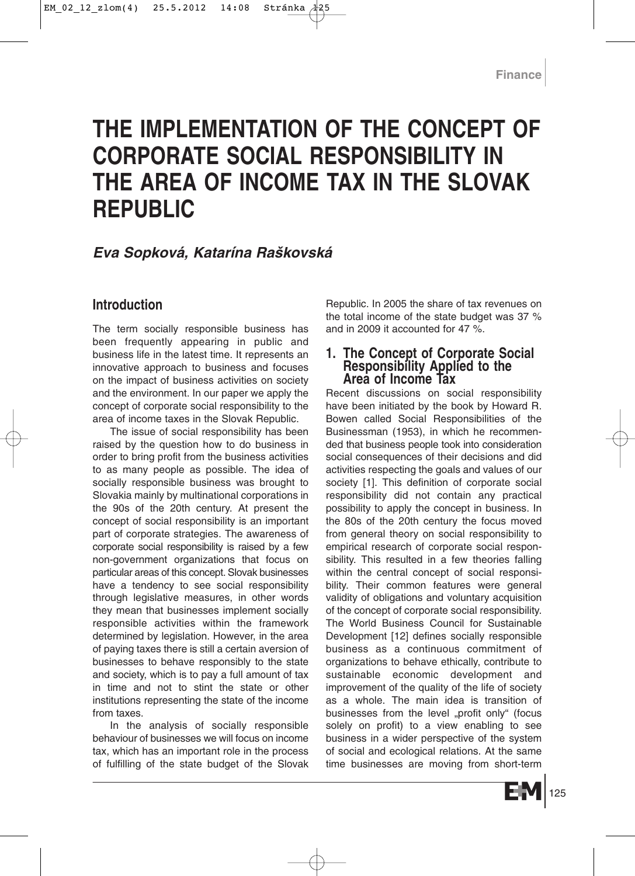# **THE IMPLEMENTATION OF THE CONCEPT OF CORPORATE SOCIAL RESPONSIBILITY IN THE AREA OF INCOME TAX IN THE SLOVAK REPUBLIC**

# *Eva Sopková, Katarína Ra‰kovská*

# **Introduction**

The term socially responsible business has been frequently appearing in public and business life in the latest time. It represents an innovative approach to business and focuses on the impact of business activities on society and the environment. In our paper we apply the concept of corporate social responsibility to the area of income taxes in the Slovak Republic.

The issue of social responsibility has been raised by the question how to do business in order to bring profit from the business activities to as many people as possible. The idea of socially responsible business was brought to Slovakia mainly by multinational corporations in the 90s of the 20th century. At present the concept of social responsibility is an important part of corporate strategies. The awareness of corporate social responsibility is raised by a few non-government organizations that focus on particular areas of this concept. Slovak businesses have a tendency to see social responsibility through legislative measures, in other words they mean that businesses implement socially responsible activities within the framework determined by legislation. However, in the area of paying taxes there is still a certain aversion of businesses to behave responsibly to the state and society, which is to pay a full amount of tax in time and not to stint the state or other institutions representing the state of the income from taxes.

In the analysis of socially responsible behaviour of businesses we will focus on income tax, which has an important role in the process of fulfilling of the state budget of the Slovak Republic. In 2005 the share of tax revenues on the total income of the state budget was 37 % and in 2009 it accounted for 47 %.

# **1. The Concept of Corporate Social Responsibility Applied to the Area of Income Tax**

Recent discussions on social responsibility have been initiated by the book by Howard R. Bowen called Social Responsibilities of the Businessman (1953), in which he recommended that business people took into consideration social consequences of their decisions and did activities respecting the goals and values of our society [1]. This definition of corporate social responsibility did not contain any practical possibility to apply the concept in business. In the 80s of the 20th century the focus moved from general theory on social responsibility to empirical research of corporate social responsibility. This resulted in a few theories falling within the central concept of social responsibility. Their common features were general validity of obligations and voluntary acquisition of the concept of corporate social responsibility. The World Business Council for Sustainable Development [12] defines socially responsible business as a continuous commitment of organizations to behave ethically, contribute to sustainable economic development and improvement of the quality of the life of society as a whole. The main idea is transition of businesses from the level "profit only" (focus solely on profit) to a view enabling to see business in a wider perspective of the system of social and ecological relations. At the same time businesses are moving from short-term

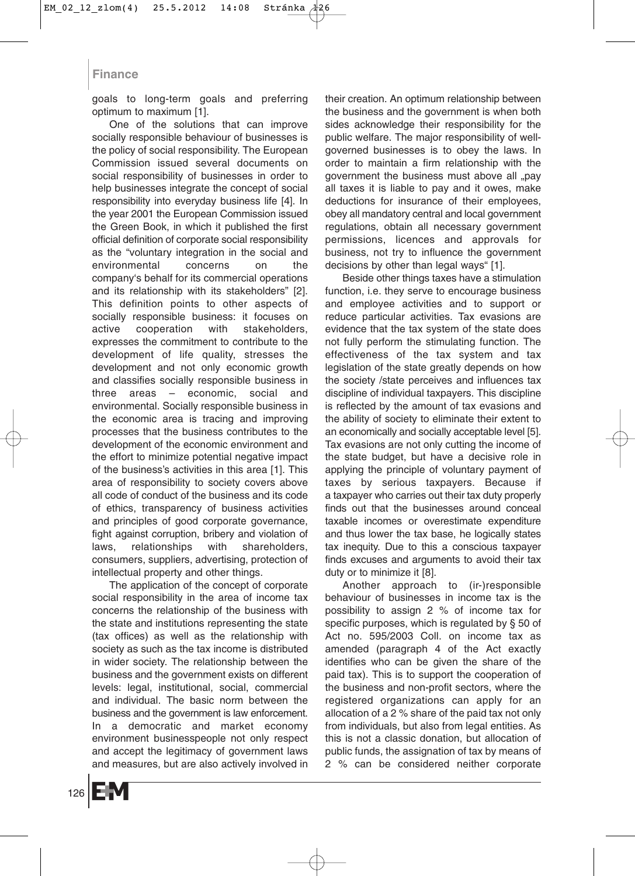goals to long-term goals and preferring optimum to maximum [1].

One of the solutions that can improve socially responsible behaviour of businesses is the policy of social responsibility. The European Commission issued several documents on social responsibility of businesses in order to help businesses integrate the concept of social responsibility into everyday business life [4]. In the year 2001 the European Commission issued the Green Book, in which it published the first official definition of corporate social responsibility as the "voluntary integration in the social and environmental concerns on the company's behalf for its commercial operations and its relationship with its stakeholders" [2]. This definition points to other aspects of socially responsible business: it focuses on active cooperation with stakeholders, expresses the commitment to contribute to the development of life quality, stresses the development and not only economic growth and classifies socially responsible business in three areas – economic, social and environmental. Socially responsible business in the economic area is tracing and improving processes that the business contributes to the development of the economic environment and the effort to minimize potential negative impact of the business's activities in this area [1]. This area of responsibility to society covers above all code of conduct of the business and its code of ethics, transparency of business activities and principles of good corporate governance, fight against corruption, bribery and violation of laws, relationships with shareholders, consumers, suppliers, advertising, protection of intellectual property and other things.

The application of the concept of corporate social responsibility in the area of income tax concerns the relationship of the business with the state and institutions representing the state (tax offices) as well as the relationship with society as such as the tax income is distributed in wider society. The relationship between the business and the government exists on different levels: legal, institutional, social, commercial and individual. The basic norm between the business and the government is law enforcement. In a democratic and market economy environment businesspeople not only respect and accept the legitimacy of government laws and measures, but are also actively involved in

their creation. An optimum relationship between the business and the government is when both sides acknowledge their responsibility for the public welfare. The major responsibility of wellgoverned businesses is to obey the laws. In order to maintain a firm relationship with the government the business must above all "pay all taxes it is liable to pay and it owes, make deductions for insurance of their employees, obey all mandatory central and local government regulations, obtain all necessary government permissions, licences and approvals for business, not try to influence the government decisions by other than legal ways" [1].

Beside other things taxes have a stimulation function, i.e. they serve to encourage business and employee activities and to support or reduce particular activities. Tax evasions are evidence that the tax system of the state does not fully perform the stimulating function. The effectiveness of the tax system and tax legislation of the state greatly depends on how the society /state perceives and influences tax discipline of individual taxpayers. This discipline is reflected by the amount of tax evasions and the ability of society to eliminate their extent to an economically and socially acceptable level [5]. Tax evasions are not only cutting the income of the state budget, but have a decisive role in applying the principle of voluntary payment of taxes by serious taxpayers. Because if a taxpayer who carries out their tax duty properly finds out that the businesses around conceal taxable incomes or overestimate expenditure and thus lower the tax base, he logically states tax inequity. Due to this a conscious taxpayer finds excuses and arguments to avoid their tax duty or to minimize it [8].

Another approach to (ir-)responsible behaviour of businesses in income tax is the possibility to assign 2 % of income tax for specific purposes, which is regulated by § 50 of Act no. 595/2003 Coll. on income tax as amended (paragraph 4 of the Act exactly identifies who can be given the share of the paid tax). This is to support the cooperation of the business and non-profit sectors, where the registered organizations can apply for an allocation of a 2 % share of the paid tax not only from individuals, but also from legal entities. As this is not a classic donation, but allocation of public funds, the assignation of tax by means of 2 % can be considered neither corporate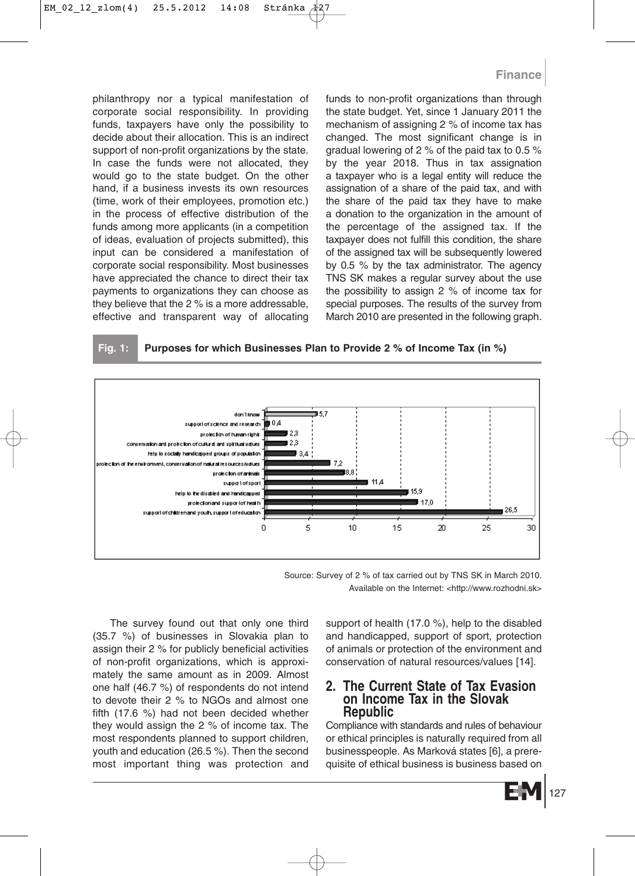philanthropy nor a typical manifestation of corporate social responsibility. In providing funds, taxpayers have only the possibility to decide about their allocation. This is an indirect support of non-profit organizations by the state. In case the funds were not allocated, they would go to the state budget. On the other hand, if a business invests its own resources (time, work of their employees, promotion etc.) in the process of effective distribution of the funds among more applicants (in a competition of ideas, evaluation of projects submitted), this input can be considered a manifestation of corporate social responsibility. Most businesses have appreciated the chance to direct their tax payments to organizations they can choose as they believe that the 2 % is a more addressable, effective and transparent way of allocating funds to non-profit organizations than through the state budget. Yet, since 1 January 2011 the mechanism of assigning 2 % of income tax has changed. The most significant change is in gradual lowering of 2 % of the paid tax to 0.5 % by the year 2018. Thus in tax assignation a taxpayer who is a legal entity will reduce the assignation of a share of the paid tax, and with the share of the paid tax they have to make a donation to the organization in the amount of the percentage of the assigned tax. If the taxpayer does not fulfill this condition, the share of the assigned tax will be subsequently lowered by 0.5 % by the tax administrator. The agency TNS SK makes a regular survey about the use the possibility to assign 2 % of income tax for special purposes. The results of the survey from March 2010 are presented in the following graph.





Source: Survey of 2 % of tax carried out by TNS SK in March 2010. Available on the Internet: <http://www.rozhodni.sk>

The survey found out that only one third (35.7 %) of businesses in Slovakia plan to assign their 2 % for publicly beneficial activities of non-profit organizations, which is approximately the same amount as in 2009. Almost one half (46.7 %) of respondents do not intend to devote their 2 % to NGOs and almost one fifth (17.6 %) had not been decided whether they would assign the 2 % of income tax. The most respondents planned to support children, youth and education (26.5 %). Then the second most important thing was protection and support of health (17.0 %), help to the disabled and handicapped, support of sport, protection of animals or protection of the environment and conservation of natural resources/values [14].

#### **2. The Current State of Tax Evasion on Income Tax in the Slovak Republic**

Compliance with standards and rules of behaviour or ethical principles is naturally required from all businesspeople. As Marková states [6], a prerequisite of ethical business is business based on

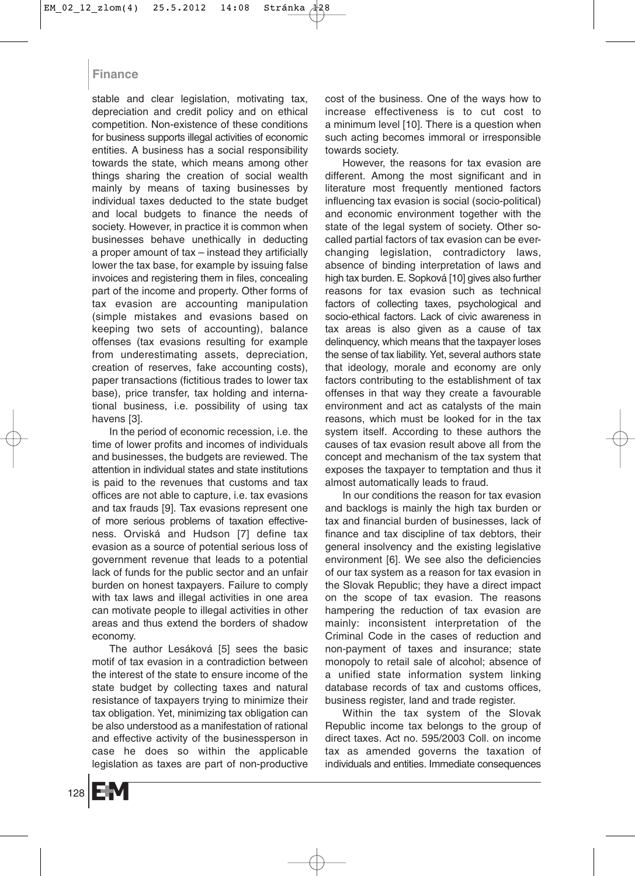stable and clear legislation, motivating tax, depreciation and credit policy and on ethical competition. Non-existence of these conditions for business supports illegal activities of economic entities. A business has a social responsibility towards the state, which means among other things sharing the creation of social wealth mainly by means of taxing businesses by individual taxes deducted to the state budget and local budgets to finance the needs of society. However, in practice it is common when businesses behave unethically in deducting a proper amount of tax – instead they artificially lower the tax base, for example by issuing false invoices and registering them in files, concealing part of the income and property. Other forms of tax evasion are accounting manipulation (simple mistakes and evasions based on keeping two sets of accounting), balance offenses (tax evasions resulting for example from underestimating assets, depreciation, creation of reserves, fake accounting costs), paper transactions (fictitious trades to lower tax base), price transfer, tax holding and international business, i.e. possibility of using tax havens [3].

In the period of economic recession, i.e. the time of lower profits and incomes of individuals and businesses, the budgets are reviewed. The attention in individual states and state institutions is paid to the revenues that customs and tax offices are not able to capture, i.e. tax evasions and tax frauds [9]. Tax evasions represent one of more serious problems of taxation effectiveness. Orviská and Hudson [7] define tax evasion as a source of potential serious loss of government revenue that leads to a potential lack of funds for the public sector and an unfair burden on honest taxpayers. Failure to comply with tax laws and illegal activities in one area can motivate people to illegal activities in other areas and thus extend the borders of shadow economy.

The author Lesáková [5] sees the basic motif of tax evasion in a contradiction between the interest of the state to ensure income of the state budget by collecting taxes and natural resistance of taxpayers trying to minimize their tax obligation. Yet, minimizing tax obligation can be also understood as a manifestation of rational and effective activity of the businessperson in case he does so within the applicable legislation as taxes are part of non-productive

cost of the business. One of the ways how to increase effectiveness is to cut cost to a minimum level [10]. There is a question when such acting becomes immoral or irresponsible towards society.

However, the reasons for tax evasion are different. Among the most significant and in literature most frequently mentioned factors influencing tax evasion is social (socio-political) and economic environment together with the state of the legal system of society. Other socalled partial factors of tax evasion can be everchanging legislation, contradictory laws, absence of binding interpretation of laws and high tax burden. E. Sopková [10] gives also further reasons for tax evasion such as technical factors of collecting taxes, psychological and socio-ethical factors. Lack of civic awareness in tax areas is also given as a cause of tax delinquency, which means that the taxpayer loses the sense of tax liability. Yet, several authors state that ideology, morale and economy are only factors contributing to the establishment of tax offenses in that way they create a favourable environment and act as catalysts of the main reasons, which must be looked for in the tax system itself. According to these authors the causes of tax evasion result above all from the concept and mechanism of the tax system that exposes the taxpayer to temptation and thus it almost automatically leads to fraud.

In our conditions the reason for tax evasion and backlogs is mainly the high tax burden or tax and financial burden of businesses, lack of finance and tax discipline of tax debtors, their general insolvency and the existing legislative environment [6]. We see also the deficiencies of our tax system as a reason for tax evasion in the Slovak Republic; they have a direct impact on the scope of tax evasion. The reasons hampering the reduction of tax evasion are mainly: inconsistent interpretation of the Criminal Code in the cases of reduction and non-payment of taxes and insurance; state monopoly to retail sale of alcohol; absence of a unified state information system linking database records of tax and customs offices, business register, land and trade register.

Within the tax system of the Slovak Republic income tax belongs to the group of direct taxes. Act no. 595/2003 Coll. on income tax as amended governs the taxation of individuals and entities. Immediate consequences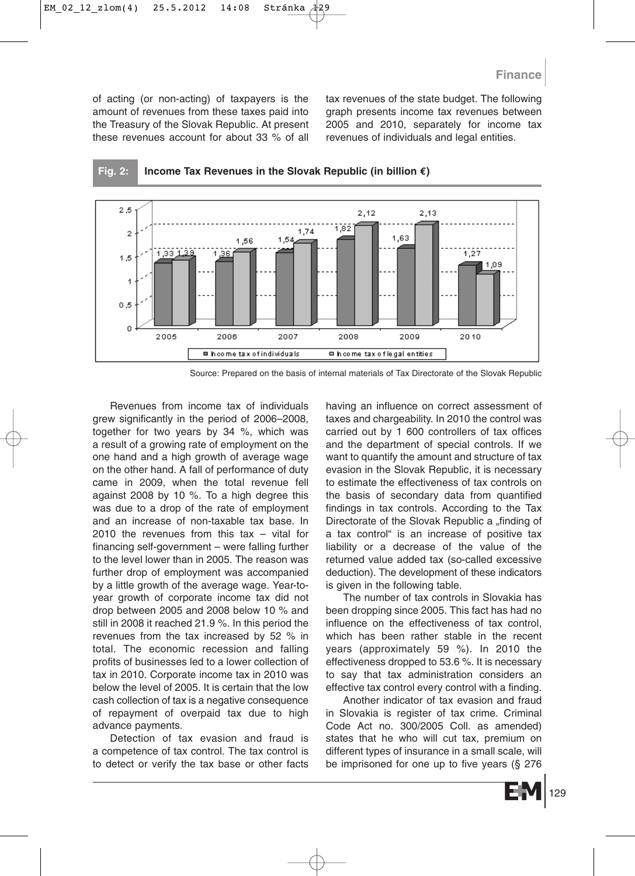of acting (or non-acting) of taxpayers is the amount of revenues from these taxes paid into the Treasury of the Slovak Republic. At present these revenues account for about 33 % of all tax revenues of the state budget. The following graph presents income tax revenues between 2005 and 2010, separately for income tax revenues of individuals and legal entities.



#### **Fig. 2: Income Tax Revenues in the Slovak Republic (in billion €)**

Source: Prepared on the basis of internal materials of Tax Directorate of the Slovak Republic

Revenues from income tax of individuals grew significantly in the period of 2006–2008, together for two years by 34 %, which was a result of a growing rate of employment on the one hand and a high growth of average wage on the other hand. A fall of performance of duty came in 2009, when the total revenue fell against 2008 by 10 %. To a high degree this was due to a drop of the rate of employment and an increase of non-taxable tax base. In 2010 the revenues from this tax – vital for financing self-government – were falling further to the level lower than in 2005. The reason was further drop of employment was accompanied by a little growth of the average wage. Year-toyear growth of corporate income tax did not drop between 2005 and 2008 below 10 % and still in 2008 it reached 21.9 %. In this period the revenues from the tax increased by 52 % in total. The economic recession and falling profits of businesses led to a lower collection of tax in 2010. Corporate income tax in 2010 was below the level of 2005. It is certain that the low cash collection of tax is a negative consequence of repayment of overpaid tax due to high advance payments.

Detection of tax evasion and fraud is a competence of tax control. The tax control is to detect or verify the tax base or other facts having an influence on correct assessment of taxes and chargeability. In 2010 the control was carried out by 1 600 controllers of tax offices and the department of special controls. If we want to quantify the amount and structure of tax evasion in the Slovak Republic, it is necessary to estimate the effectiveness of tax controls on the basis of secondary data from quantified findings in tax controls. According to the Tax Directorate of the Slovak Republic a "finding of a tax control" is an increase of positive tax liability or a decrease of the value of the returned value added tax (so-called excessive deduction). The development of these indicators is given in the following table.

The number of tax controls in Slovakia has been dropping since 2005. This fact has had no influence on the effectiveness of tax control, which has been rather stable in the recent years (approximately 59 %). In 2010 the effectiveness dropped to 53.6 %. It is necessary to say that tax administration considers an effective tax control every control with a finding.

Another indicator of tax evasion and fraud in Slovakia is register of tax crime. Criminal Code Act no. 300/2005 Coll. as amended) states that he who will cut tax, premium on different types of insurance in a small scale, will be imprisoned for one up to five years (§ 276

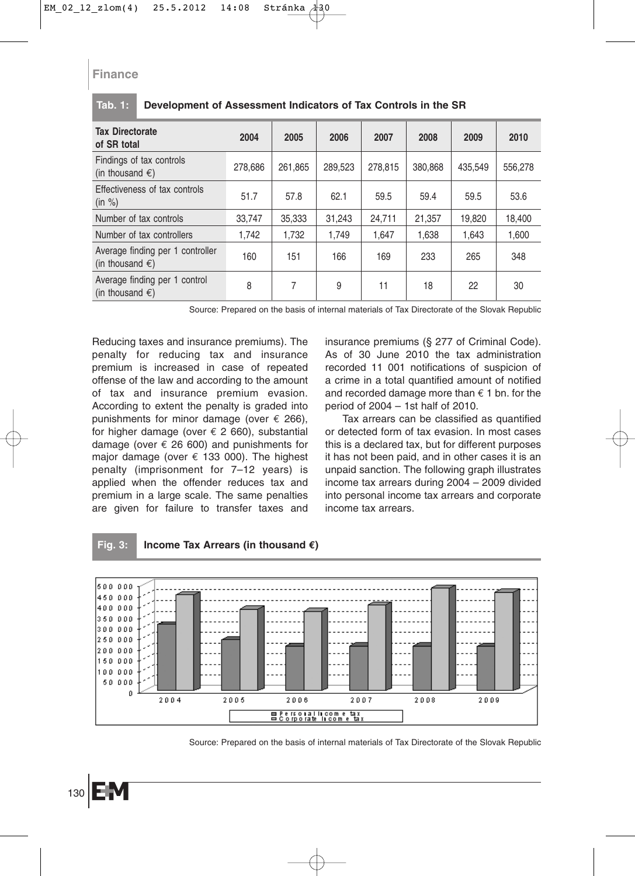| <b>Tax Directorate</b><br>of SR total                         | 2004    | 2005    | 2006    | 2007    | 2008    | 2009    | 2010    |
|---------------------------------------------------------------|---------|---------|---------|---------|---------|---------|---------|
| Findings of tax controls<br>(in thousand $\epsilon$ )         | 278.686 | 261.865 | 289.523 | 278.815 | 380.868 | 435,549 | 556,278 |
| Effectiveness of tax controls<br>(in %)                       | 51.7    | 57.8    | 62.1    | 59.5    | 59.4    | 59.5    | 53.6    |
| Number of tax controls                                        | 33.747  | 35.333  | 31.243  | 24.711  | 21.357  | 19.820  | 18.400  |
| Number of tax controllers                                     | 1,742   | 1,732   | 1.749   | 1.647   | 1,638   | 1,643   | 1,600   |
| Average finding per 1 controller<br>(in thousand $\epsilon$ ) | 160     | 151     | 166     | 169     | 233     | 265     | 348     |
| Average finding per 1 control<br>(in thousand $\epsilon$ )    | 8       | 7       | 9       | 11      | 18      | 22      | 30      |

#### **Tab. 1: Development of Assessment Indicators of Tax Controls in the SR**

Source: Prepared on the basis of internal materials of Tax Directorate of the Slovak Republic

Reducing taxes and insurance premiums). The penalty for reducing tax and insurance premium is increased in case of repeated offense of the law and according to the amount of tax and insurance premium evasion. According to extent the penalty is graded into punishments for minor damage (over  $\epsilon$  266), for higher damage (over  $\epsilon$  2 660), substantial damage (over  $\epsilon$  26 600) and punishments for major damage (over  $\epsilon$  133 000). The highest penalty (imprisonment for 7–12 years) is applied when the offender reduces tax and premium in a large scale. The same penalties are given for failure to transfer taxes and insurance premiums (§ 277 of Criminal Code). As of 30 June 2010 the tax administration recorded 11 001 notifications of suspicion of a crime in a total quantified amount of notified and recorded damage more than  $\epsilon$  1 bn, for the period of 2004 – 1st half of 2010.

Tax arrears can be classified as quantified or detected form of tax evasion. In most cases this is a declared tax, but for different purposes it has not been paid, and in other cases it is an unpaid sanction. The following graph illustrates income tax arrears during 2004 – 2009 divided into personal income tax arrears and corporate income tax arrears.



**Fig. 3: Income Tax Arrears (in thousand €)**

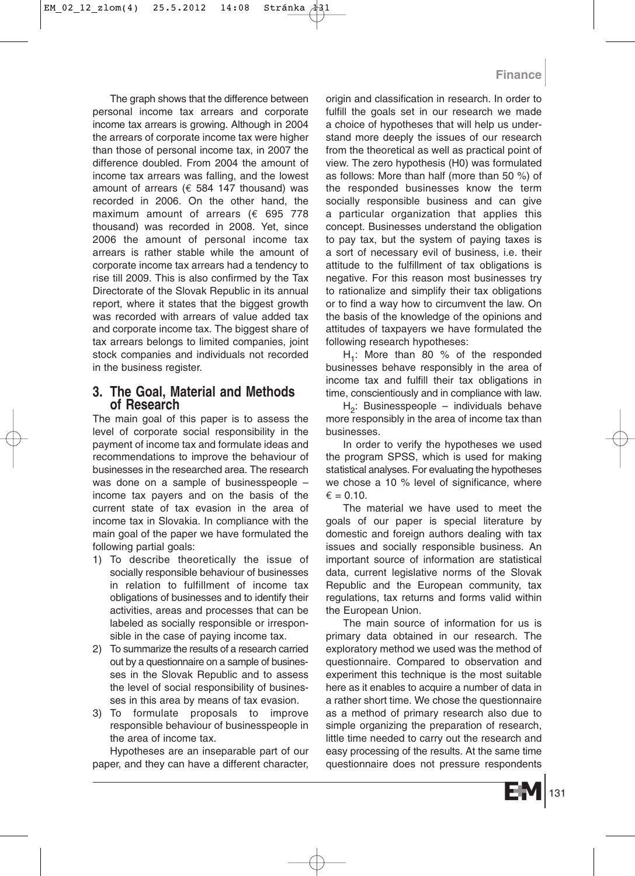The graph shows that the difference between personal income tax arrears and corporate income tax arrears is growing. Although in 2004 the arrears of corporate income tax were higher than those of personal income tax, in 2007 the difference doubled. From 2004 the amount of income tax arrears was falling, and the lowest amount of arrears ( $\epsilon$  584 147 thousand) was recorded in 2006. On the other hand, the maximum amount of arrears (€ 695 778 thousand) was recorded in 2008. Yet, since 2006 the amount of personal income tax arrears is rather stable while the amount of corporate income tax arrears had a tendency to rise till 2009. This is also confirmed by the Tax Directorate of the Slovak Republic in its annual report, where it states that the biggest growth was recorded with arrears of value added tax and corporate income tax. The biggest share of tax arrears belongs to limited companies, joint stock companies and individuals not recorded in the business register.

# **3. The Goal, Material and Methods of Research**

The main goal of this paper is to assess the level of corporate social responsibility in the payment of income tax and formulate ideas and recommendations to improve the behaviour of businesses in the researched area. The research was done on a sample of businesspeople – income tax payers and on the basis of the current state of tax evasion in the area of income tax in Slovakia. In compliance with the main goal of the paper we have formulated the following partial goals:

- 1) To describe theoretically the issue of socially responsible behaviour of businesses in relation to fulfillment of income tax obligations of businesses and to identify their activities, areas and processes that can be labeled as socially responsible or irresponsible in the case of paying income tax.
- 2) To summarize the results of a research carried out by a questionnaire on a sample of businesses in the Slovak Republic and to assess the level of social responsibility of businesses in this area by means of tax evasion.
- 3) To formulate proposals to improve responsible behaviour of businesspeople in the area of income tax.

Hypotheses are an inseparable part of our paper, and they can have a different character,

origin and classification in research. In order to fulfill the goals set in our research we made a choice of hypotheses that will help us understand more deeply the issues of our research from the theoretical as well as practical point of view. The zero hypothesis (H0) was formulated as follows: More than half (more than 50 %) of the responded businesses know the term socially responsible business and can give a particular organization that applies this concept. Businesses understand the obligation to pay tax, but the system of paying taxes is a sort of necessary evil of business, i.e. their attitude to the fulfillment of tax obligations is negative. For this reason most businesses try to rationalize and simplify their tax obligations or to find a way how to circumvent the law. On the basis of the knowledge of the opinions and attitudes of taxpayers we have formulated the following research hypotheses:

 $H_1$ : More than 80 % of the responded businesses behave responsibly in the area of income tax and fulfill their tax obligations in time, conscientiously and in compliance with law.

 $H<sub>2</sub>$ : Businesspeople – individuals behave more responsibly in the area of income tax than businesses.

In order to verify the hypotheses we used the program SPSS, which is used for making statistical analyses. For evaluating the hypotheses we chose a 10 % level of significance, where  $E = 0.10$ .

The material we have used to meet the goals of our paper is special literature by domestic and foreign authors dealing with tax issues and socially responsible business. An important source of information are statistical data, current legislative norms of the Slovak Republic and the European community, tax regulations, tax returns and forms valid within the European Union.

The main source of information for us is primary data obtained in our research. The exploratory method we used was the method of questionnaire. Compared to observation and experiment this technique is the most suitable here as it enables to acquire a number of data in a rather short time. We chose the questionnaire as a method of primary research also due to simple organizing the preparation of research, little time needed to carry out the research and easy processing of the results. At the same time questionnaire does not pressure respondents

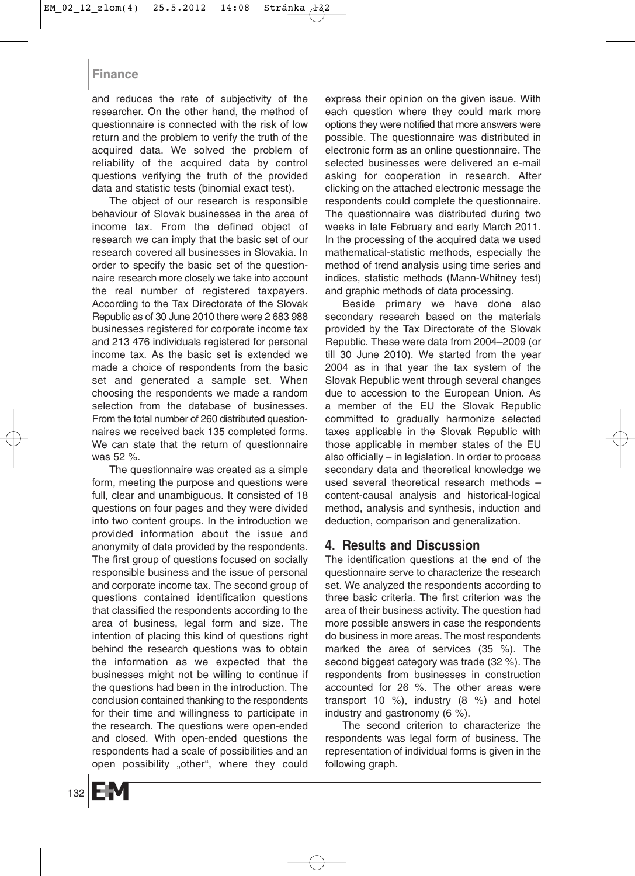and reduces the rate of subjectivity of the researcher. On the other hand, the method of questionnaire is connected with the risk of low return and the problem to verify the truth of the acquired data. We solved the problem of reliability of the acquired data by control questions verifying the truth of the provided data and statistic tests (binomial exact test).

The object of our research is responsible behaviour of Slovak businesses in the area of income tax. From the defined object of research we can imply that the basic set of our research covered all businesses in Slovakia. In order to specify the basic set of the questionnaire research more closely we take into account the real number of registered taxpayers. According to the Tax Directorate of the Slovak Republic as of 30 June 2010 there were 2 683 988 businesses registered for corporate income tax and 213 476 individuals registered for personal income tax. As the basic set is extended we made a choice of respondents from the basic set and generated a sample set. When choosing the respondents we made a random selection from the database of businesses. From the total number of 260 distributed questionnaires we received back 135 completed forms. We can state that the return of questionnaire was 52 %.

The questionnaire was created as a simple form, meeting the purpose and questions were full, clear and unambiguous. It consisted of 18 questions on four pages and they were divided into two content groups. In the introduction we provided information about the issue and anonymity of data provided by the respondents. The first group of questions focused on socially responsible business and the issue of personal and corporate income tax. The second group of questions contained identification questions that classified the respondents according to the area of business, legal form and size. The intention of placing this kind of questions right behind the research questions was to obtain the information as we expected that the businesses might not be willing to continue if the questions had been in the introduction. The conclusion contained thanking to the respondents for their time and willingness to participate in the research. The questions were open-ended and closed. With open-ended questions the respondents had a scale of possibilities and an open possibility "other", where they could express their opinion on the given issue. With each question where they could mark more options they were notified that more answers were possible. The questionnaire was distributed in electronic form as an online questionnaire. The selected businesses were delivered an e-mail asking for cooperation in research. After clicking on the attached electronic message the respondents could complete the questionnaire. The questionnaire was distributed during two weeks in late February and early March 2011. In the processing of the acquired data we used mathematical-statistic methods, especially the method of trend analysis using time series and indices, statistic methods (Mann-Whitney test) and graphic methods of data processing.

Beside primary we have done also secondary research based on the materials provided by the Tax Directorate of the Slovak Republic. These were data from 2004–2009 (or till 30 June 2010). We started from the year 2004 as in that year the tax system of the Slovak Republic went through several changes due to accession to the European Union. As a member of the EU the Slovak Republic committed to gradually harmonize selected taxes applicable in the Slovak Republic with those applicable in member states of the EU also officially – in legislation. In order to process secondary data and theoretical knowledge we used several theoretical research methods – content-causal analysis and historical-logical method, analysis and synthesis, induction and deduction, comparison and generalization.

## **4. Results and Discussion**

The identification questions at the end of the questionnaire serve to characterize the research set. We analyzed the respondents according to three basic criteria. The first criterion was the area of their business activity. The question had more possible answers in case the respondents do business in more areas. The most respondents marked the area of services (35 %). The second biggest category was trade (32 %). The respondents from businesses in construction accounted for 26 %. The other areas were transport 10 %), industry (8 %) and hotel industry and gastronomy (6 %).

The second criterion to characterize the respondents was legal form of business. The representation of individual forms is given in the following graph.

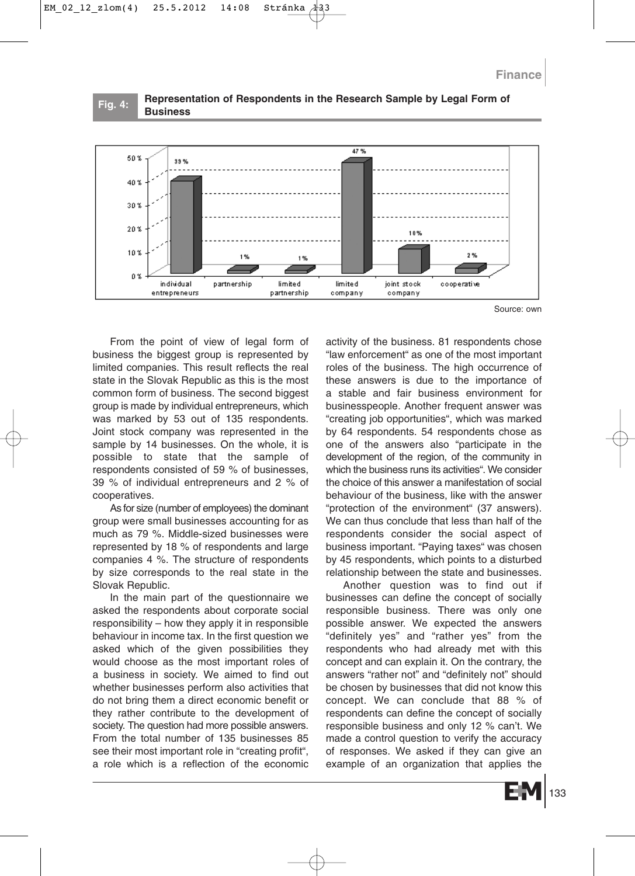

#### **Fig. 4: Representation of Respondents in the Research Sample by Legal Form of Business**

Source: own

From the point of view of legal form of business the biggest group is represented by limited companies. This result reflects the real state in the Slovak Republic as this is the most common form of business. The second biggest group is made by individual entrepreneurs, which was marked by 53 out of 135 respondents. Joint stock company was represented in the sample by 14 businesses. On the whole, it is possible to state that the sample of respondents consisted of 59 % of businesses, 39 % of individual entrepreneurs and 2 % of cooperatives.

As for size (number of employees) the dominant group were small businesses accounting for as much as 79 %. Middle-sized businesses were represented by 18 % of respondents and large companies 4 %. The structure of respondents by size corresponds to the real state in the Slovak Republic.

In the main part of the questionnaire we asked the respondents about corporate social responsibility – how they apply it in responsible behaviour in income tax. In the first question we asked which of the given possibilities they would choose as the most important roles of a business in society. We aimed to find out whether businesses perform also activities that do not bring them a direct economic benefit or they rather contribute to the development of society. The question had more possible answers. From the total number of 135 businesses 85 see their most important role in "creating profit", a role which is a reflection of the economic activity of the business. 81 respondents chose "law enforcement" as one of the most important roles of the business. The high occurrence of these answers is due to the importance of a stable and fair business environment for businesspeople. Another frequent answer was "creating job opportunities", which was marked by 64 respondents. 54 respondents chose as one of the answers also "participate in the development of the region, of the community in which the business runs its activities". We consider the choice of this answer a manifestation of social behaviour of the business, like with the answer "protection of the environment" (37 answers). We can thus conclude that less than half of the respondents consider the social aspect of business important. "Paying taxes" was chosen by 45 respondents, which points to a disturbed relationship between the state and businesses.

Another question was to find out if businesses can define the concept of socially responsible business. There was only one possible answer. We expected the answers "definitely yes" and "rather yes" from the respondents who had already met with this concept and can explain it. On the contrary, the answers "rather not" and "definitely not" should be chosen by businesses that did not know this concept. We can conclude that 88 % of respondents can define the concept of socially responsible business and only 12 % can't. We made a control question to verify the accuracy of responses. We asked if they can give an example of an organization that applies the

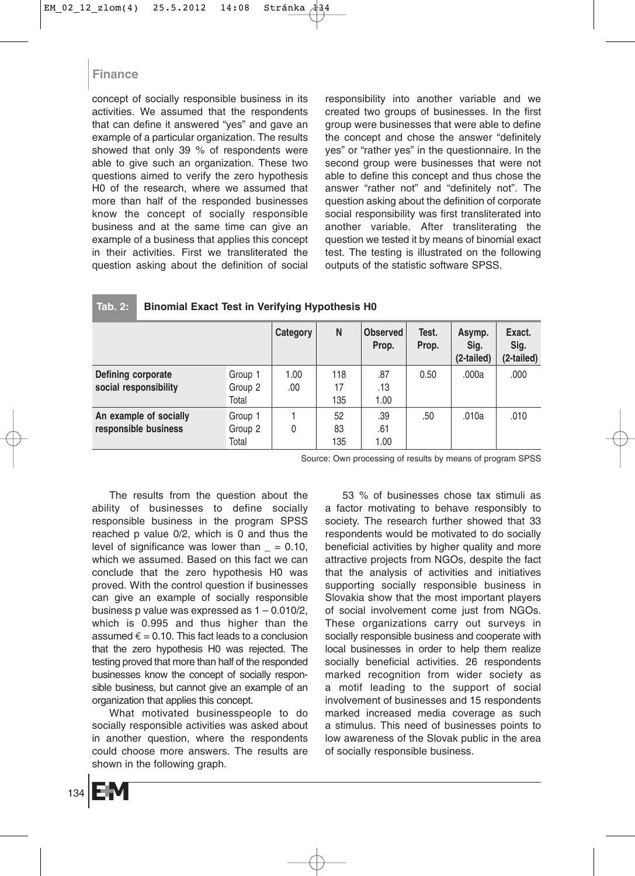concept of socially responsible business in its activities. We assumed that the respondents that can define it answered "yes" and gave an example of a particular organization. The results showed that only 39 % of respondents were able to give such an organization. These two questions aimed to verify the zero hypothesis H0 of the research, where we assumed that more than half of the responded businesses know the concept of socially responsible business and at the same time can give an example of a business that applies this concept in their activities. First we transliterated the question asking about the definition of social responsibility into another variable and we created two groups of businesses. In the first group were businesses that were able to define the concept and chose the answer "definitely yes" or "rather yes" in the questionnaire. In the second group were businesses that were not able to define this concept and thus chose the answer "rather not" and "definitely not". The question asking about the definition of corporate social responsibility was first transliterated into another variable. After transliterating the question we tested it by means of binomial exact test. The testing is illustrated on the following outputs of the statistic software SPSS.

|                                                |  |                             | Category    | N                | <b>Observed</b><br>Prop. | Test.<br>Prop. | Asymp.<br>Sig.<br>(2-tailed) | Exact.<br>Sig.<br>(2-tailed) |
|------------------------------------------------|--|-----------------------------|-------------|------------------|--------------------------|----------------|------------------------------|------------------------------|
| Defining corporate<br>social responsibility    |  | Group 1<br>Group 2<br>Total | 1.00<br>.00 | 118<br>17<br>135 | .87<br>.13<br>1.00       | 0.50           | .000a                        | .000                         |
| An example of socially<br>responsible business |  | Group 1<br>Group 2<br>Total | 0           | 52<br>83<br>135  | .39<br>.61<br>1.00       | .50            | .010a                        | .010                         |

**Tab. 2: Binomial Exact Test in Verifying Hypothesis H0**

Source: Own processing of results by means of program SPSS

The results from the question about the ability of businesses to define socially responsible business in the program SPSS reached p value 0/2, which is 0 and thus the level of significance was lower than  $= 0.10$ . which we assumed. Based on this fact we can conclude that the zero hypothesis H0 was proved. With the control question if businesses can give an example of socially responsible business p value was expressed as 1 – 0.010/2, which is 0.995 and thus higher than the assumed  $\epsilon$  = 0.10. This fact leads to a conclusion that the zero hypothesis H0 was rejected. The testing proved that more than half of the responded businesses know the concept of socially responsible business, but cannot give an example of an organization that applies this concept.

What motivated businesspeople to do socially responsible activities was asked about in another question, where the respondents could choose more answers. The results are shown in the following graph.

53 % of businesses chose tax stimuli as a factor motivating to behave responsibly to society. The research further showed that 33 respondents would be motivated to do socially beneficial activities by higher quality and more attractive projects from NGOs, despite the fact that the analysis of activities and initiatives supporting socially responsible business in Slovakia show that the most important players of social involvement come just from NGOs. These organizations carry out surveys in socially responsible business and cooperate with local businesses in order to help them realize socially beneficial activities. 26 respondents marked recognition from wider society as a motif leading to the support of social involvement of businesses and 15 respondents marked increased media coverage as such a stimulus. This need of businesses points to low awareness of the Slovak public in the area of socially responsible business.

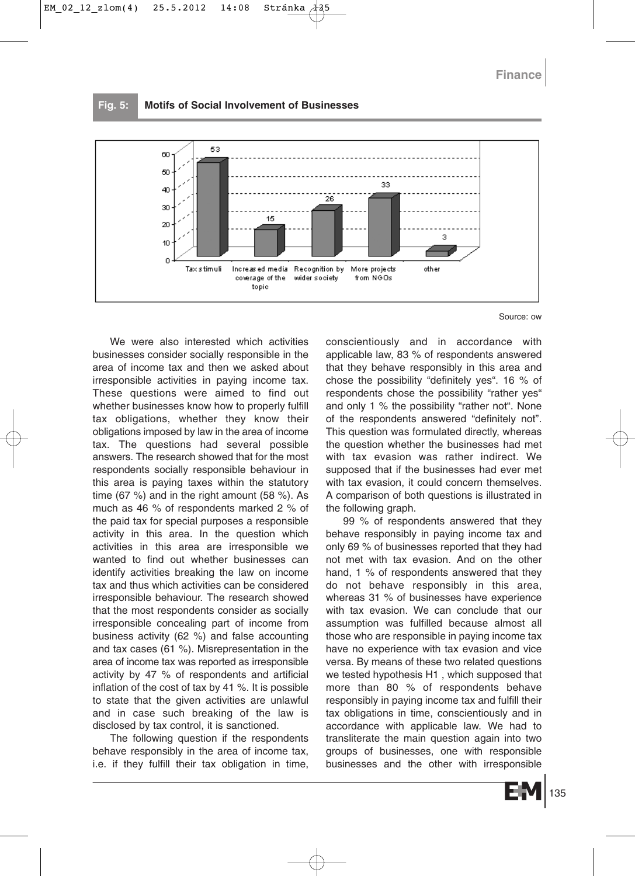



Source: ow

We were also interested which activities businesses consider socially responsible in the area of income tax and then we asked about irresponsible activities in paying income tax. These questions were aimed to find out whether businesses know how to properly fulfill tax obligations, whether they know their obligations imposed by law in the area of income tax. The questions had several possible answers. The research showed that for the most respondents socially responsible behaviour in this area is paying taxes within the statutory time (67 %) and in the right amount (58 %). As much as 46 % of respondents marked 2 % of the paid tax for special purposes a responsible activity in this area. In the question which activities in this area are irresponsible we wanted to find out whether businesses can identify activities breaking the law on income tax and thus which activities can be considered irresponsible behaviour. The research showed that the most respondents consider as socially irresponsible concealing part of income from business activity (62 %) and false accounting and tax cases (61 %). Misrepresentation in the area of income tax was reported as irresponsible activity by 47 % of respondents and artificial inflation of the cost of tax by 41 %. It is possible to state that the given activities are unlawful and in case such breaking of the law is disclosed by tax control, it is sanctioned.

The following question if the respondents behave responsibly in the area of income tax, i.e. if they fulfill their tax obligation in time,

conscientiously and in accordance with applicable law, 83 % of respondents answered that they behave responsibly in this area and chose the possibility "definitely yes". 16 % of respondents chose the possibility "rather yes" and only 1 % the possibility "rather not". None of the respondents answered "definitely not". This question was formulated directly, whereas the question whether the businesses had met with tax evasion was rather indirect. We supposed that if the businesses had ever met with tax evasion, it could concern themselves. A comparison of both questions is illustrated in the following graph.

99 % of respondents answered that they behave responsibly in paying income tax and only 69 % of businesses reported that they had not met with tax evasion. And on the other hand, 1 % of respondents answered that they do not behave responsibly in this area, whereas 31 % of businesses have experience with tax evasion. We can conclude that our assumption was fulfilled because almost all those who are responsible in paying income tax have no experience with tax evasion and vice versa. By means of these two related questions we tested hypothesis H1 , which supposed that more than 80 % of respondents behave responsibly in paying income tax and fulfill their tax obligations in time, conscientiously and in accordance with applicable law. We had to transliterate the main question again into two groups of businesses, one with responsible businesses and the other with irresponsible

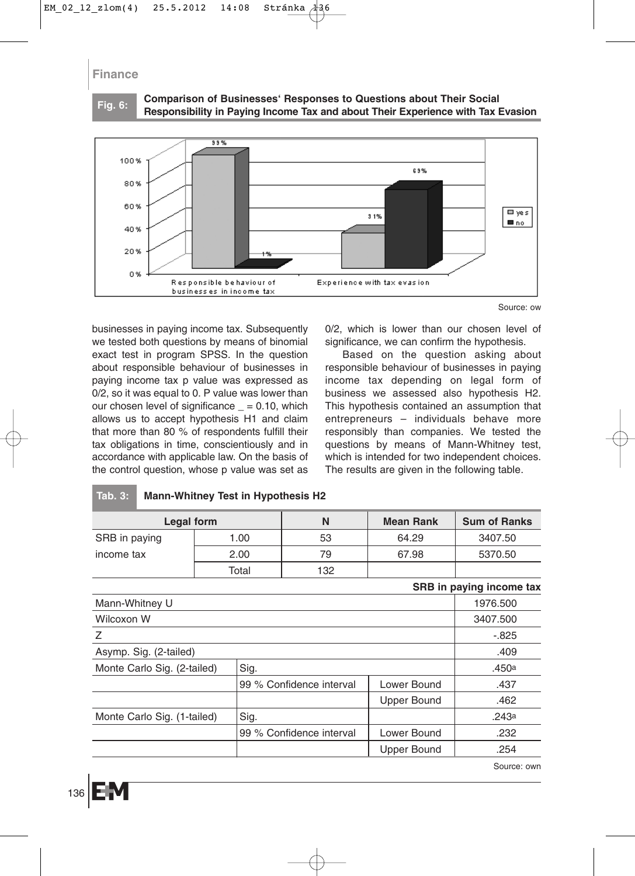**Comparison of Businesses' Responses to Questions about Their Social Fig. 6: Responsibility in Paying Income Tax and about Their Experience with Tax Evasion**



Source: ow

businesses in paying income tax. Subsequently we tested both questions by means of binomial exact test in program SPSS. In the question about responsible behaviour of businesses in paying income tax p value was expressed as 0/2, so it was equal to 0. P value was lower than our chosen level of significance  $= 0.10$ , which allows us to accept hypothesis H1 and claim that more than 80 % of respondents fulfill their tax obligations in time, conscientiously and in accordance with applicable law. On the basis of the control question, whose p value was set as 0/2, which is lower than our chosen level of significance, we can confirm the hypothesis.

Based on the question asking about responsible behaviour of businesses in paying income tax depending on legal form of business we assessed also hypothesis H2. This hypothesis contained an assumption that entrepreneurs – individuals behave more responsibly than companies. We tested the questions by means of Mann-Whitney test, which is intended for two independent choices. The results are given in the following table.

| <b>Legal form</b>           |  |       | N                        | <b>Mean Rank</b> | <b>Sum of Ranks</b>      |  |
|-----------------------------|--|-------|--------------------------|------------------|--------------------------|--|
| SRB in paying               |  | 1.00  | 53                       | 64.29            | 3407.50                  |  |
| income tax                  |  | 2.00  | 79                       | 67.98            | 5370.50                  |  |
|                             |  | Total | 132                      |                  |                          |  |
|                             |  |       |                          |                  | SRB in paying income tax |  |
| Mann-Whitney U              |  |       |                          |                  | 1976.500                 |  |
| Wilcoxon W                  |  |       |                          |                  | 3407.500                 |  |
| Ζ                           |  |       |                          |                  | $-0.825$                 |  |
| Asymp. Sig. (2-tailed)      |  |       |                          |                  | .409                     |  |
| Monte Carlo Sig. (2-tailed) |  | Sig.  |                          |                  | .450a                    |  |
|                             |  |       | 99 % Confidence interval | Lower Bound      | .437                     |  |
|                             |  |       |                          | Upper Bound      | .462                     |  |
| Monte Carlo Sig. (1-tailed) |  | Sig.  |                          | .243a            |                          |  |
|                             |  |       | 99 % Confidence interval | Lower Bound      | .232                     |  |
|                             |  |       |                          | Upper Bound      | .254                     |  |
|                             |  |       |                          |                  |                          |  |

**Tab. 3: Mann-Whitney Test in Hypothesis H2**

Source: own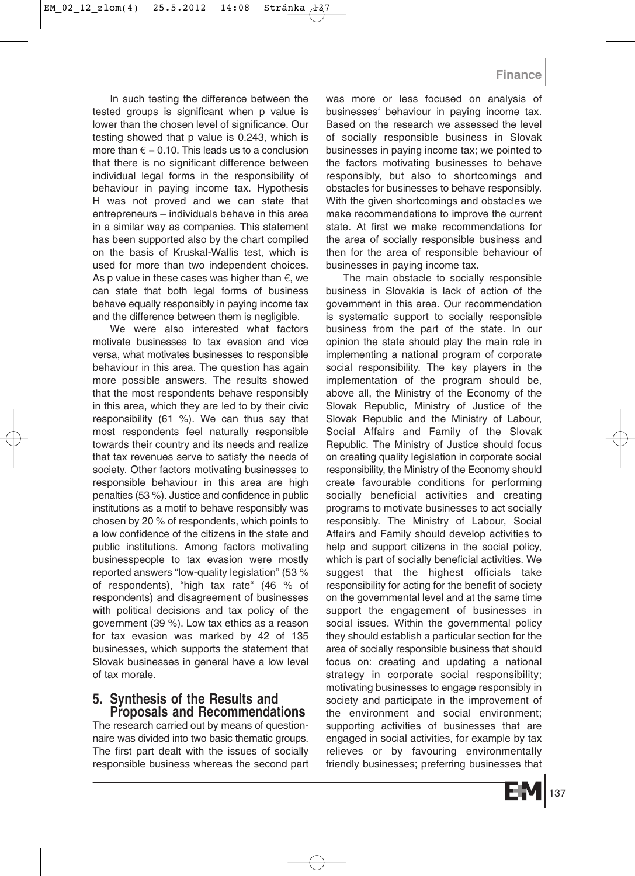In such testing the difference between the tested groups is significant when p value is lower than the chosen level of significance. Our testing showed that p value is 0.243, which is more than  $\epsilon = 0.10$ . This leads us to a conclusion that there is no significant difference between individual legal forms in the responsibility of behaviour in paying income tax. Hypothesis H was not proved and we can state that entrepreneurs – individuals behave in this area in a similar way as companies. This statement has been supported also by the chart compiled on the basis of Kruskal-Wallis test, which is used for more than two independent choices. As p value in these cases was higher than  $\epsilon$ , we can state that both legal forms of business behave equally responsibly in paying income tax and the difference between them is negligible.

We were also interested what factors motivate businesses to tax evasion and vice versa, what motivates businesses to responsible behaviour in this area. The question has again more possible answers. The results showed that the most respondents behave responsibly in this area, which they are led to by their civic responsibility (61 %). We can thus say that most respondents feel naturally responsible towards their country and its needs and realize that tax revenues serve to satisfy the needs of society. Other factors motivating businesses to responsible behaviour in this area are high penalties (53 %). Justice and confidence in public institutions as a motif to behave responsibly was chosen by 20 % of respondents, which points to a low confidence of the citizens in the state and public institutions. Among factors motivating businesspeople to tax evasion were mostly reported answers "low-quality legislation" (53 % of respondents), "high tax rate" (46 % of respondents) and disagreement of businesses with political decisions and tax policy of the government (39 %). Low tax ethics as a reason for tax evasion was marked by 42 of 135 businesses, which supports the statement that Slovak businesses in general have a low level of tax morale.

# **5. Synthesis of the Results and Proposals and Recommendations**

The research carried out by means of questionnaire was divided into two basic thematic groups. The first part dealt with the issues of socially responsible business whereas the second part was more or less focused on analysis of businesses' behaviour in paying income tax. Based on the research we assessed the level of socially responsible business in Slovak businesses in paying income tax; we pointed to the factors motivating businesses to behave responsibly, but also to shortcomings and obstacles for businesses to behave responsibly. With the given shortcomings and obstacles we make recommendations to improve the current state. At first we make recommendations for the area of socially responsible business and then for the area of responsible behaviour of businesses in paying income tax.

The main obstacle to socially responsible business in Slovakia is lack of action of the government in this area. Our recommendation is systematic support to socially responsible business from the part of the state. In our opinion the state should play the main role in implementing a national program of corporate social responsibility. The key players in the implementation of the program should be, above all, the Ministry of the Economy of the Slovak Republic, Ministry of Justice of the Slovak Republic and the Ministry of Labour, Social Affairs and Family of the Slovak Republic. The Ministry of Justice should focus on creating quality legislation in corporate social responsibility, the Ministry of the Economy should create favourable conditions for performing socially beneficial activities and creating programs to motivate businesses to act socially responsibly. The Ministry of Labour, Social Affairs and Family should develop activities to help and support citizens in the social policy, which is part of socially beneficial activities. We suggest that the highest officials take responsibility for acting for the benefit of society on the governmental level and at the same time support the engagement of businesses in social issues. Within the governmental policy they should establish a particular section for the area of socially responsible business that should focus on: creating and updating a national strategy in corporate social responsibility; motivating businesses to engage responsibly in society and participate in the improvement of the environment and social environment; supporting activities of businesses that are engaged in social activities, for example by tax relieves or by favouring environmentally friendly businesses; preferring businesses that

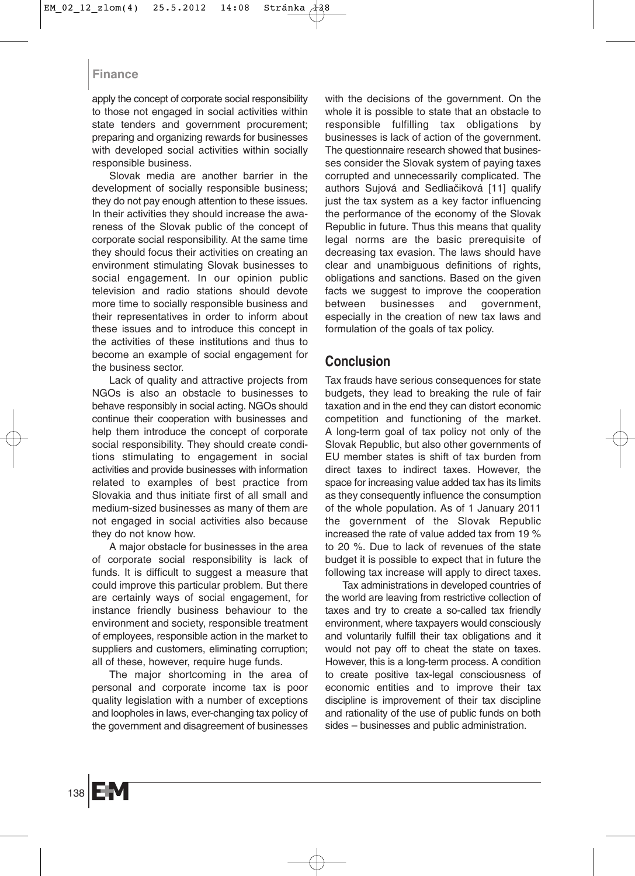apply the concept of corporate social responsibility to those not engaged in social activities within state tenders and government procurement; preparing and organizing rewards for businesses with developed social activities within socially responsible business.

Slovak media are another barrier in the development of socially responsible business; they do not pay enough attention to these issues. In their activities they should increase the awareness of the Slovak public of the concept of corporate social responsibility. At the same time they should focus their activities on creating an environment stimulating Slovak businesses to social engagement. In our opinion public television and radio stations should devote more time to socially responsible business and their representatives in order to inform about these issues and to introduce this concept in the activities of these institutions and thus to become an example of social engagement for the business sector.

Lack of quality and attractive projects from NGOs is also an obstacle to businesses to behave responsibly in social acting. NGOs should continue their cooperation with businesses and help them introduce the concept of corporate social responsibility. They should create conditions stimulating to engagement in social activities and provide businesses with information related to examples of best practice from Slovakia and thus initiate first of all small and medium-sized businesses as many of them are not engaged in social activities also because they do not know how.

A major obstacle for businesses in the area of corporate social responsibility is lack of funds. It is difficult to suggest a measure that could improve this particular problem. But there are certainly ways of social engagement, for instance friendly business behaviour to the environment and society, responsible treatment of employees, responsible action in the market to suppliers and customers, eliminating corruption; all of these, however, require huge funds.

The major shortcoming in the area of personal and corporate income tax is poor quality legislation with a number of exceptions and loopholes in laws, ever-changing tax policy of the government and disagreement of businesses with the decisions of the government. On the whole it is possible to state that an obstacle to responsible fulfilling tax obligations by businesses is lack of action of the government. The questionnaire research showed that businesses consider the Slovak system of paying taxes corrupted and unnecessarily complicated. The authors Sujová and Sedliaãiková [11] qualify just the tax system as a key factor influencing the performance of the economy of the Slovak Republic in future. Thus this means that quality legal norms are the basic prerequisite of decreasing tax evasion. The laws should have clear and unambiguous definitions of rights, obligations and sanctions. Based on the given facts we suggest to improve the cooperation between businesses and government, especially in the creation of new tax laws and formulation of the goals of tax policy.

### **Conclusion**

Tax frauds have serious consequences for state budgets, they lead to breaking the rule of fair taxation and in the end they can distort economic competition and functioning of the market. A long-term goal of tax policy not only of the Slovak Republic, but also other governments of EU member states is shift of tax burden from direct taxes to indirect taxes. However, the space for increasing value added tax has its limits as they consequently influence the consumption of the whole population. As of 1 January 2011 the government of the Slovak Republic increased the rate of value added tax from 19 % to 20 %. Due to lack of revenues of the state budget it is possible to expect that in future the following tax increase will apply to direct taxes.

Tax administrations in developed countries of the world are leaving from restrictive collection of taxes and try to create a so-called tax friendly environment, where taxpayers would consciously and voluntarily fulfill their tax obligations and it would not pay off to cheat the state on taxes. However, this is a long-term process. A condition to create positive tax-legal consciousness of economic entities and to improve their tax discipline is improvement of their tax discipline and rationality of the use of public funds on both sides – businesses and public administration.

138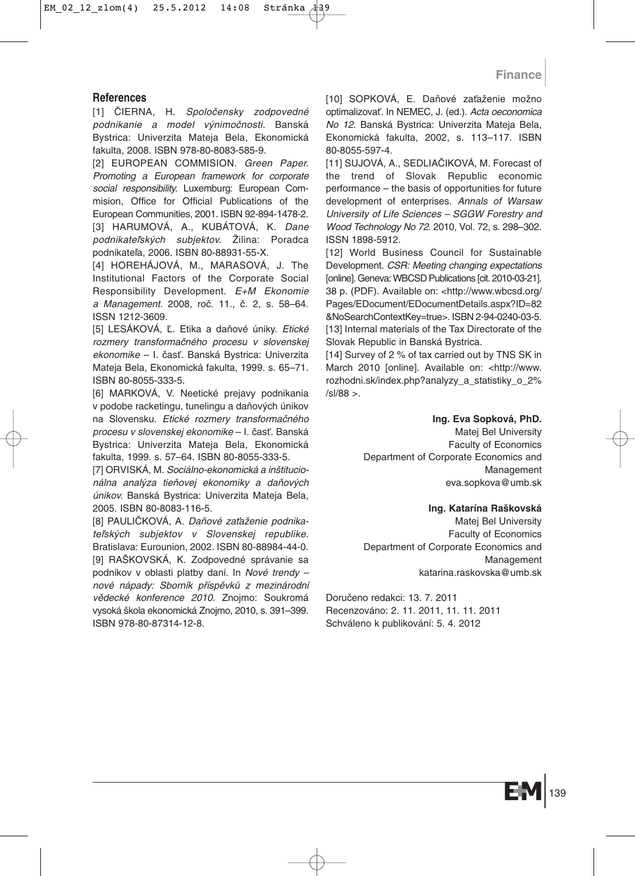#### **References**

[1] âIERNA, H. *Spoloãensky zodpovedné podnikanie a model v˘nimoãnosti.* Banská Bystrica: Univerzita Mateja Bela, Ekonomická fakulta, 2008. ISBN 978-80-8083-585-9.

[2] EUROPEAN COMMISION. *Green Paper. Promoting a European framework for corporate social responsibility.* Luxemburg: European Commision, Office for Official Publications of the European Communities, 2001. ISBN 92-894-1478-2. [3] HARUMOVÁ, A., KUBÁTOVÁ, K. *Dane podnikateºsk˘ch subjektov.* Îilina: Poradca podnikateľa, 2006. ISBN 80-88931-55-X.

[4] HOREHÁJOVÁ, M., MARASOVÁ, J. The Institutional Factors of the Corporate Social Responsibility Development. *E+M Ekonomie a Management.* 2008, roã. 11., ã. 2, s. 58–64. ISSN 1212-3609.

[5] LESÁKOVÁ, ª. Etika a daÀové úniky. *Etické rozmery transformaãného procesu v slovenskej* ekonomike - I. časť. Banská Bystrica: Univerzita Mateja Bela, Ekonomická fakulta, 1999. s. 65–71. ISBN 80-8055-333-5.

[6] MARKOVÁ, V. Neetické prejavy podnikania v podobe racketingu, tunelingu a daňových únikov na Slovensku. *Etické rozmery transformaãného procesu v slovenskej ekonomike* – I. ãasÈ. Banská Bystrica: Univerzita Mateja Bela, Ekonomická fakulta, 1999. s. 57–64. ISBN 80-8055-333-5.

[7] ORVISKÁ, M. *Sociálno-ekonomická a inštitucionálna anal˘za tieÀovej ekonomiky a daÀov˘ch únikov.* Banská Bystrica: Univerzita Mateja Bela, 2005. ISBN 80-8083-116-5.

[8] PAULIČKOVÁ, A. Daňové zaťaženie podnika*teºsk˘ch subjektov v Slovenskej republike.* Bratislava: Eurounion, 2002. ISBN 80-88984-44-0. [9] RAŠKOVSKÁ, K. Zodpovedné správanie sa podnikov v oblasti platby daní. In *Nové trendy – nové nápady: Sborník pfiíspûvkÛ z mezinárodní vûdecké konference 2010*. Znojmo: Soukromá vysoká ‰kola ekonomická Znojmo, 2010, s. 391–399. ISBN 978-80-87314-12-8.

[10] SOPKOVÁ, E. Daňové zaťaženie možno optimalizovaÈ. In NEMEC, J. (ed.). *Acta oeconomica No 12.* Banská Bystrica: Univerzita Mateja Bela, Ekonomická fakulta, 2002, s. 113–117. ISBN 80-8055-597-4.

[11] SUJOVÁ, A., SEDLIAČIKOVÁ, M. Forecast of the trend of Slovak Republic economic performance – the basis of opportunities for future development of enterprises. *Annals of Warsaw University of Life Sciences – SGGW Forestry and Wood Technology No 72*. 2010, Vol. 72, s. 298–302. ISSN 1898-5912.

[12] World Business Council for Sustainable Development. *CSR: Meeting changing expectations* [online]. Geneva: WBCSD Publications [cit. 2010-03-21]. 38 p. (PDF). Available on: <http://www.wbcsd.org/ Pages/EDocument/EDocumentDetails.aspx?ID=82 &NoSearchContextKey=true>. ISBN 2-94-0240-03-5. [13] Internal materials of the Tax Directorate of the Slovak Republic in Banská Bystrica.

[14] Survey of 2 % of tax carried out by TNS SK in March 2010 [online]. Available on: <http://www. rozhodni.sk/index.php?analyzy\_a\_statistiky\_o\_2% /sl/88 >.

#### **Ing. Eva Sopková, PhD.**

Matej Bel University Faculty of Economics Department of Corporate Economics and Management eva.sopkova@umb.sk

**Ing. Katarína Ra‰kovská**

Matej Bel University Faculty of Economics Department of Corporate Economics and Management katarina.raskovska@umb.sk

Doruãeno redakci: 13. 7. 2011 Recenzováno: 2. 11. 2011, 11. 11. 2011 Schváleno k publikování: 5. 4. 2012